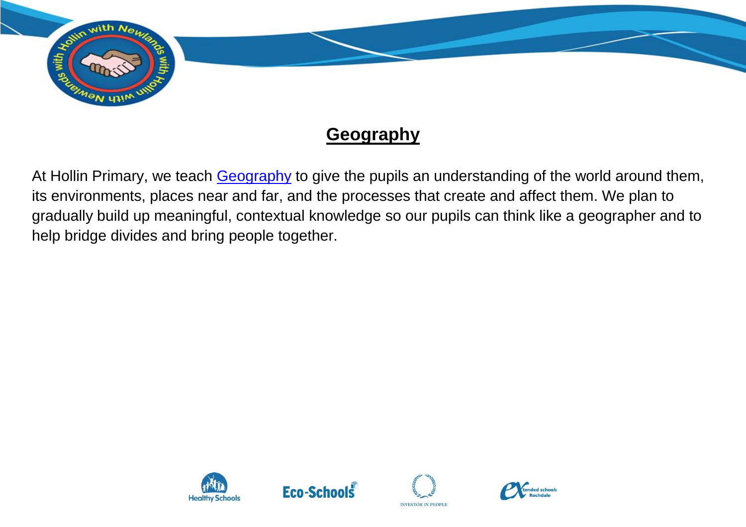

## **Geography**

At Hollin Primary, we teach **Geography** to give the pupils an understanding of the world around them, its environments, places near and far, and the processes that create and affect them. We plan to gradually build up meaningful, contextual knowledge so our pupils can think like a geographer and to help bridge divides and bring people together.







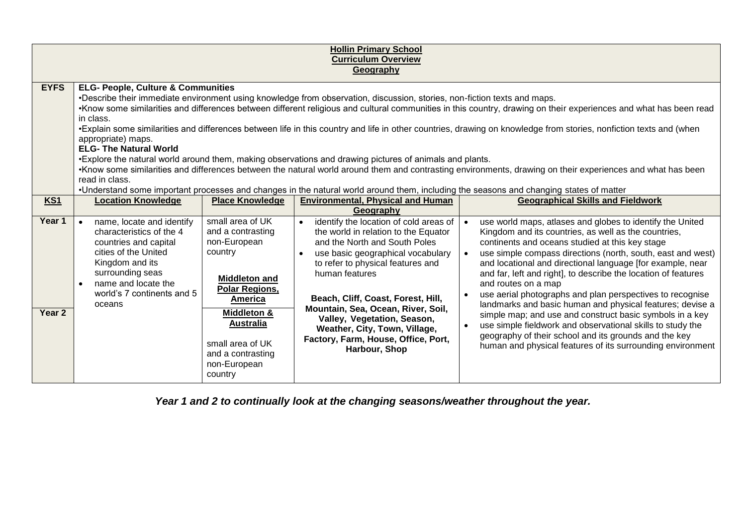| <b>Hollin Primary School</b><br><b>Curriculum Overview</b><br>Geography |                                                                                                                                                                                                                                                                                                                                                                                                                                                                                                                                                                                                                                                                                                                                                                                                                                                                                                                                                                                                                               |                                                                                                                                                                                                                              |                                                                                                                                                                                                                                                                                                                                                                                                                                           |                                                                                                                                                                                                                                                                                                                                                                                                                                                                                                                                                                                                                                                                                                                                                                       |  |  |  |
|-------------------------------------------------------------------------|-------------------------------------------------------------------------------------------------------------------------------------------------------------------------------------------------------------------------------------------------------------------------------------------------------------------------------------------------------------------------------------------------------------------------------------------------------------------------------------------------------------------------------------------------------------------------------------------------------------------------------------------------------------------------------------------------------------------------------------------------------------------------------------------------------------------------------------------------------------------------------------------------------------------------------------------------------------------------------------------------------------------------------|------------------------------------------------------------------------------------------------------------------------------------------------------------------------------------------------------------------------------|-------------------------------------------------------------------------------------------------------------------------------------------------------------------------------------------------------------------------------------------------------------------------------------------------------------------------------------------------------------------------------------------------------------------------------------------|-----------------------------------------------------------------------------------------------------------------------------------------------------------------------------------------------------------------------------------------------------------------------------------------------------------------------------------------------------------------------------------------------------------------------------------------------------------------------------------------------------------------------------------------------------------------------------------------------------------------------------------------------------------------------------------------------------------------------------------------------------------------------|--|--|--|
| <b>EYFS</b>                                                             | <b>ELG- People, Culture &amp; Communities</b><br>•Describe their immediate environment using knowledge from observation, discussion, stories, non-fiction texts and maps.<br>•Know some similarities and differences between different religious and cultural communities in this country, drawing on their experiences and what has been read<br>in class.<br>•Explain some similarities and differences between life in this country and life in other countries, drawing on knowledge from stories, nonfiction texts and (when<br>appropriate) maps.<br><b>ELG- The Natural World</b><br>•Explore the natural world around them, making observations and drawing pictures of animals and plants.<br>•Know some similarities and differences between the natural world around them and contrasting environments, drawing on their experiences and what has been<br>read in class.<br>•Understand some important processes and changes in the natural world around them, including the seasons and changing states of matter |                                                                                                                                                                                                                              |                                                                                                                                                                                                                                                                                                                                                                                                                                           |                                                                                                                                                                                                                                                                                                                                                                                                                                                                                                                                                                                                                                                                                                                                                                       |  |  |  |
| KS1                                                                     | <b>Location Knowledge</b>                                                                                                                                                                                                                                                                                                                                                                                                                                                                                                                                                                                                                                                                                                                                                                                                                                                                                                                                                                                                     | <b>Place Knowledge</b>                                                                                                                                                                                                       | <b>Environmental, Physical and Human</b><br>Geography                                                                                                                                                                                                                                                                                                                                                                                     | <b>Geographical Skills and Fieldwork</b>                                                                                                                                                                                                                                                                                                                                                                                                                                                                                                                                                                                                                                                                                                                              |  |  |  |
| Year 1<br>Year 2                                                        | name, locate and identify<br>characteristics of the 4<br>countries and capital<br>cities of the United<br>Kingdom and its<br>surrounding seas<br>name and locate the<br>world's 7 continents and 5<br>oceans                                                                                                                                                                                                                                                                                                                                                                                                                                                                                                                                                                                                                                                                                                                                                                                                                  | small area of UK<br>and a contrasting<br>non-European<br>country<br><b>Middleton and</b><br>Polar Regions,<br>America<br>Middleton &<br><b>Australia</b><br>small area of UK<br>and a contrasting<br>non-European<br>country | identify the location of cold areas of<br>$\bullet$<br>the world in relation to the Equator<br>and the North and South Poles<br>use basic geographical vocabulary<br>$\bullet$<br>to refer to physical features and<br>human features<br>Beach, Cliff, Coast, Forest, Hill,<br>Mountain, Sea, Ocean, River, Soil,<br>Valley, Vegetation, Season,<br>Weather, City, Town, Village,<br>Factory, Farm, House, Office, Port,<br>Harbour, Shop | use world maps, atlases and globes to identify the United<br>Kingdom and its countries, as well as the countries,<br>continents and oceans studied at this key stage<br>use simple compass directions (north, south, east and west)<br>and locational and directional language [for example, near<br>and far, left and right], to describe the location of features<br>and routes on a map<br>use aerial photographs and plan perspectives to recognise<br>landmarks and basic human and physical features; devise a<br>simple map; and use and construct basic symbols in a key<br>use simple fieldwork and observational skills to study the<br>geography of their school and its grounds and the key<br>human and physical features of its surrounding environment |  |  |  |

*Year 1 and 2 to continually look at the changing seasons/weather throughout the year.*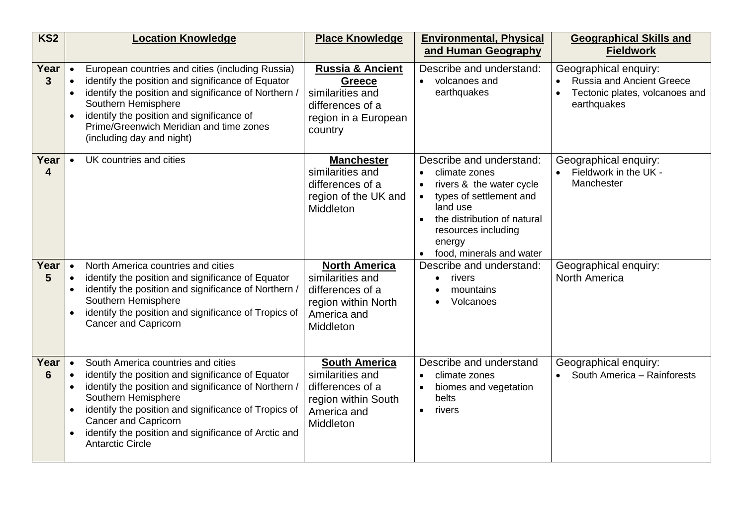| KS <sub>2</sub>        | <b>Location Knowledge</b>                                                                                                                                                                                                                                                                                                                                                                                        | <b>Place Knowledge</b>                                                                                                  | <b>Environmental, Physical</b><br>and Human Geography                                                                                                                                                                 | <b>Geographical Skills and</b><br><b>Fieldwork</b>                                                    |
|------------------------|------------------------------------------------------------------------------------------------------------------------------------------------------------------------------------------------------------------------------------------------------------------------------------------------------------------------------------------------------------------------------------------------------------------|-------------------------------------------------------------------------------------------------------------------------|-----------------------------------------------------------------------------------------------------------------------------------------------------------------------------------------------------------------------|-------------------------------------------------------------------------------------------------------|
| Year<br>3 <sup>1</sup> | European countries and cities (including Russia)<br>$\bullet$<br>identify the position and significance of Equator<br>$\bullet$<br>identify the position and significance of Northern<br>$\bullet$<br>Southern Hemisphere<br>identify the position and significance of<br>Prime/Greenwich Meridian and time zones<br>(including day and night)                                                                   | <b>Russia &amp; Ancient</b><br><b>Greece</b><br>similarities and<br>differences of a<br>region in a European<br>country | Describe and understand:<br>volcanoes and<br>earthquakes                                                                                                                                                              | Geographical enquiry:<br>• Russia and Ancient Greece<br>Tectonic plates, volcanoes and<br>earthquakes |
| Year<br>4              | UK countries and cities<br>$\bullet$                                                                                                                                                                                                                                                                                                                                                                             | <b>Manchester</b><br>similarities and<br>differences of a<br>region of the UK and<br>Middleton                          | Describe and understand:<br>climate zones<br>$\bullet$<br>rivers & the water cycle<br>types of settlement and<br>land use<br>the distribution of natural<br>resources including<br>energy<br>food, minerals and water | Geographical enquiry:<br>• Fieldwork in the UK -<br>Manchester                                        |
| Year<br>5              | North America countries and cities<br>$\bullet$<br>identify the position and significance of Equator<br>$\bullet$<br>identify the position and significance of Northern /<br>Southern Hemisphere<br>identify the position and significance of Tropics of<br>Cancer and Capricorn                                                                                                                                 | <b>North America</b><br>similarities and<br>differences of a<br>region within North<br>America and<br>Middleton         | Describe and understand:<br>rivers<br>$\bullet$<br>mountains<br>Volcanoes                                                                                                                                             | Geographical enquiry:<br><b>North America</b>                                                         |
| Year<br>6              | South America countries and cities<br>$\bullet$<br>identify the position and significance of Equator<br>$\bullet$<br>identify the position and significance of Northern,<br>$\bullet$<br>Southern Hemisphere<br>identify the position and significance of Tropics of<br>$\bullet$<br><b>Cancer and Capricorn</b><br>identify the position and significance of Arctic and<br>$\bullet$<br><b>Antarctic Circle</b> | <b>South America</b><br>similarities and<br>differences of a<br>region within South<br>America and<br>Middleton         | Describe and understand<br>climate zones<br>$\bullet$<br>biomes and vegetation<br>belts<br>rivers                                                                                                                     | Geographical enquiry:<br>• South America - Rainforests                                                |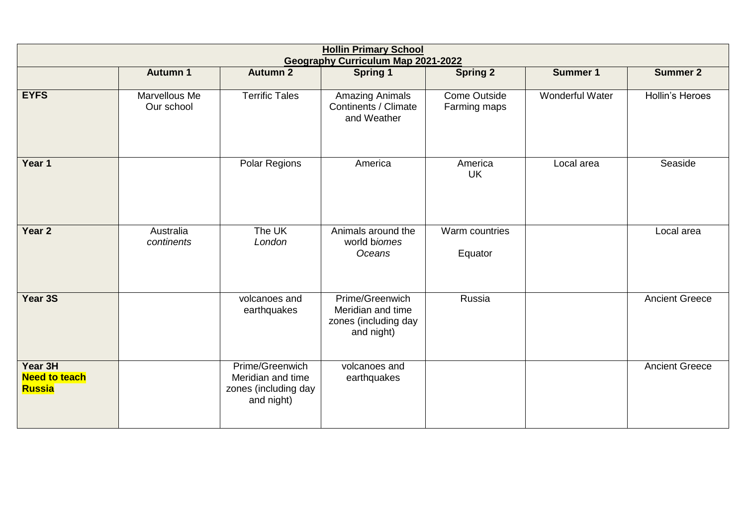| <b>Hollin Primary School</b><br><b>Geography Curriculum Map 2021-2022</b> |                             |                                                                            |                                                                            |                                     |                        |                       |
|---------------------------------------------------------------------------|-----------------------------|----------------------------------------------------------------------------|----------------------------------------------------------------------------|-------------------------------------|------------------------|-----------------------|
|                                                                           | <b>Autumn 1</b>             | <b>Autumn 2</b>                                                            | <b>Spring 1</b>                                                            | <b>Spring 2</b>                     | <b>Summer 1</b>        | <b>Summer 2</b>       |
| <b>EYFS</b>                                                               | Marvellous Me<br>Our school | <b>Terrific Tales</b>                                                      | Amazing Animals<br>Continents / Climate<br>and Weather                     | <b>Come Outside</b><br>Farming maps | <b>Wonderful Water</b> | Hollin's Heroes       |
| Year 1                                                                    |                             | Polar Regions                                                              | America                                                                    | America<br><b>UK</b>                | Local area             | Seaside               |
| Year 2                                                                    | Australia<br>continents     | The UK<br>London                                                           | Animals around the<br>world biomes<br>Oceans                               | Warm countries<br>Equator           |                        | Local area            |
| Year 3S                                                                   |                             | volcanoes and<br>earthquakes                                               | Prime/Greenwich<br>Meridian and time<br>zones (including day<br>and night) | Russia                              |                        | <b>Ancient Greece</b> |
| Year 3H<br><b>Need to teach</b><br><b>Russia</b>                          |                             | Prime/Greenwich<br>Meridian and time<br>zones (including day<br>and night) | volcanoes and<br>earthquakes                                               |                                     |                        | <b>Ancient Greece</b> |